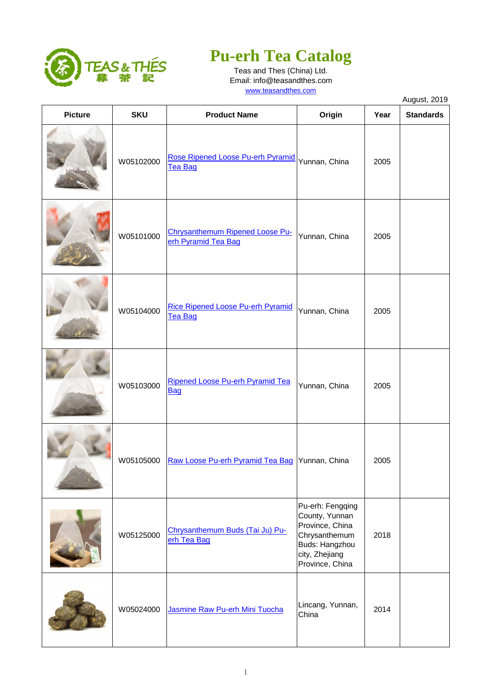

## **Pu-erh Tea Catalog**

Teas and Thes (China) Ltd. Email: info@teasandthes.com www.teasandthes.com

|                |            |                                                        |                                                                                                                               | August, 2019 |                  |
|----------------|------------|--------------------------------------------------------|-------------------------------------------------------------------------------------------------------------------------------|--------------|------------------|
| <b>Picture</b> | <b>SKU</b> | <b>Product Name</b>                                    | Origin                                                                                                                        | Year         | <b>Standards</b> |
|                | W05102000  | Rose Ripened Loose Pu-erh Pyramid<br>Tea Bag           | Yunnan, China                                                                                                                 | 2005         |                  |
|                | W05101000  | Chrysanthemum Ripened Loose Pu-<br>erh Pyramid Tea Bag | Yunnan, China                                                                                                                 | 2005         |                  |
|                | W05104000  | <b>Rice Ripened Loose Pu-erh Pyramid</b><br>Tea Bag    | Yunnan, China                                                                                                                 | 2005         |                  |
|                | W05103000  | Ripened Loose Pu-erh Pyramid Tea<br><b>Bag</b>         | Yunnan, China                                                                                                                 | 2005         |                  |
|                | W05105000  | Raw Loose Pu-erh Pyramid Tea Bag Yunnan, China         |                                                                                                                               | 2005         |                  |
|                | W05125000  | Chrysanthemum Buds (Tai Ju) Pu-<br>erh Tea Bag         | Pu-erh: Fengqing<br>County, Yunnan<br>Province, China<br>Chrysanthemum<br>Buds: Hangzhou<br>city, Zhejiang<br>Province, China | 2018         |                  |
|                | W05024000  | Jasmine Raw Pu-erh Mini Tuocha                         | Lincang, Yunnan,<br>China                                                                                                     | 2014         |                  |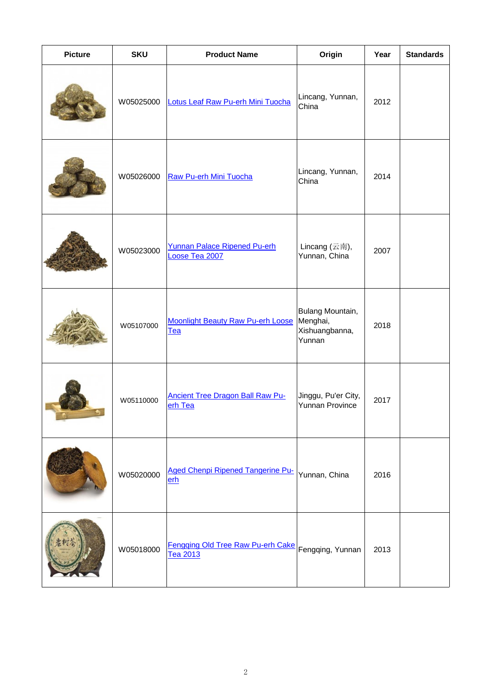| <b>Picture</b> | <b>SKU</b> | <b>Product Name</b>                                    | Origin                                                   | Year | <b>Standards</b> |
|----------------|------------|--------------------------------------------------------|----------------------------------------------------------|------|------------------|
|                | W05025000  | Lotus Leaf Raw Pu-erh Mini Tuocha                      | Lincang, Yunnan,<br>China                                | 2012 |                  |
|                | W05026000  | <b>Raw Pu-erh Mini Tuocha</b>                          | Lincang, Yunnan,<br>China                                | 2014 |                  |
|                | W05023000  | Yunnan Palace Ripened Pu-erh<br>Loose Tea 2007         | Lincang $(oversrightarrow{\pi}$ 南),<br>Yunnan, China     | 2007 |                  |
|                | W05107000  | <b>Moonlight Beauty Raw Pu-erh Loose</b><br><b>Tea</b> | Bulang Mountain,<br>Menghai,<br>Xishuangbanna,<br>Yunnan | 2018 |                  |
|                | W05110000  | <b>Ancient Tree Dragon Ball Raw Pu-</b><br>erh Tea     | Jinggu, Pu'er City,<br>Yunnan Province                   | 2017 |                  |
|                | W05020000  | <b>Aged Chenpi Ripened Tangerine Pu-</b><br>erh        | Yunnan, China                                            | 2016 |                  |
|                | W05018000  | Fengqing Old Tree Raw Pu-erh Cake<br>Tea 2013          | Fengqing, Yunnan                                         | 2013 |                  |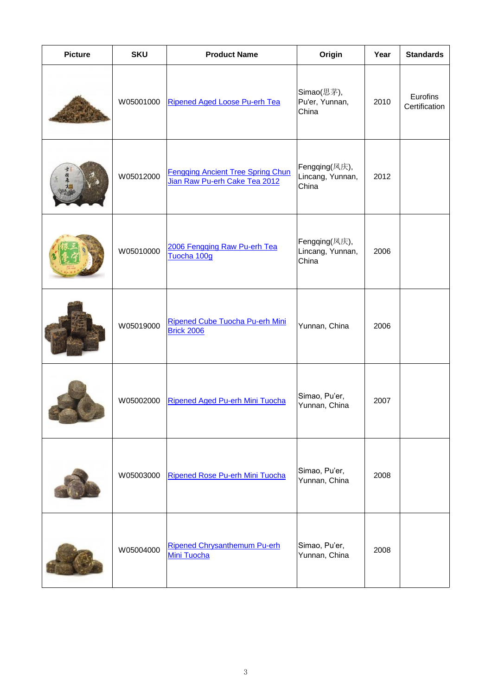| <b>Picture</b> | <b>SKU</b> | <b>Product Name</b>                                                       | Origin                                     | Year | <b>Standards</b>          |
|----------------|------------|---------------------------------------------------------------------------|--------------------------------------------|------|---------------------------|
|                | W05001000  | <b>Ripened Aged Loose Pu-erh Tea</b>                                      | Simao(思茅),<br>Pu'er, Yunnan,<br>China      | 2010 | Eurofins<br>Certification |
|                | W05012000  | <b>Fengqing Ancient Tree Spring Chun</b><br>Jian Raw Pu-erh Cake Tea 2012 | Fengqing(凤庆),<br>Lincang, Yunnan,<br>China | 2012 |                           |
|                | W05010000  | 2006 Fengqing Raw Pu-erh Tea<br>Tuocha 100g                               | Fengqing(凤庆),<br>Lincang, Yunnan,<br>China | 2006 |                           |
|                | W05019000  | Ripened Cube Tuocha Pu-erh Mini<br><b>Brick 2006</b>                      | Yunnan, China                              | 2006 |                           |
|                | W05002000  | Ripened Aged Pu-erh Mini Tuocha                                           | Simao, Pu'er,<br>Yunnan, China             | 2007 |                           |
|                | W05003000  | <b>Ripened Rose Pu-erh Mini Tuocha</b>                                    | Simao, Pu'er,<br>Yunnan, China             | 2008 |                           |
|                | W05004000  | <b>Ripened Chrysanthemum Pu-erh</b><br>Mini Tuocha                        | Simao, Pu'er,<br>Yunnan, China             | 2008 |                           |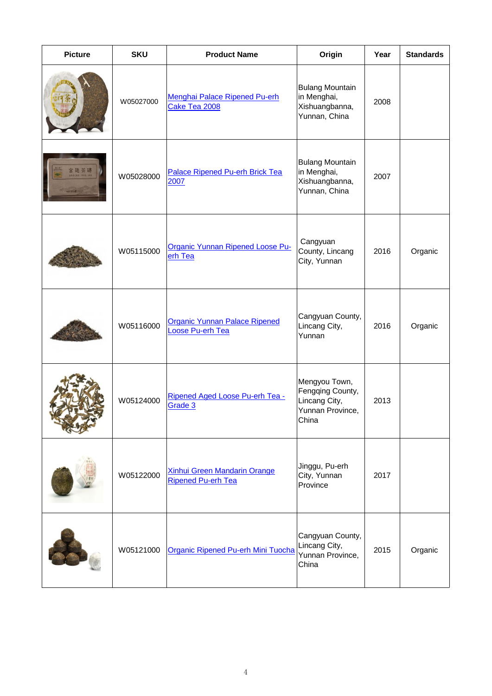| <b>Picture</b> | <b>SKU</b> | <b>Product Name</b>                                              | Origin                                                                          | Year | <b>Standards</b> |
|----------------|------------|------------------------------------------------------------------|---------------------------------------------------------------------------------|------|------------------|
|                | W05027000  | Menghai Palace Ripened Pu-erh<br>Cake Tea 2008                   | <b>Bulang Mountain</b><br>in Menghai,<br>Xishuangbanna,<br>Yunnan, China        | 2008 |                  |
|                | W05028000  | <b>Palace Ripened Pu-erh Brick Tea</b><br>2007                   | <b>Bulang Mountain</b><br>in Menghai,<br>Xishuangbanna,<br>Yunnan, China        | 2007 |                  |
|                | W05115000  | Organic Yunnan Ripened Loose Pu-<br>erh Tea                      | Cangyuan<br>County, Lincang<br>City, Yunnan                                     | 2016 | Organic          |
|                | W05116000  | <b>Organic Yunnan Palace Ripened</b><br>Loose Pu-erh Tea         | Cangyuan County,<br>Lincang City,<br>Yunnan                                     | 2016 | Organic          |
|                | W05124000  | Ripened Aged Loose Pu-erh Tea -<br>Grade 3                       | Mengyou Town,<br>Fengqing County,<br>Lincang City,<br>Yunnan Province,<br>China | 2013 |                  |
|                | W05122000  | <b>Xinhui Green Mandarin Orange</b><br><b>Ripened Pu-erh Tea</b> | Jinggu, Pu-erh<br>City, Yunnan<br>Province                                      | 2017 |                  |
|                | W05121000  | <b>Organic Ripened Pu-erh Mini Tuocha</b>                        | Cangyuan County,<br>Lincang City,<br>Yunnan Province,<br>China                  | 2015 | Organic          |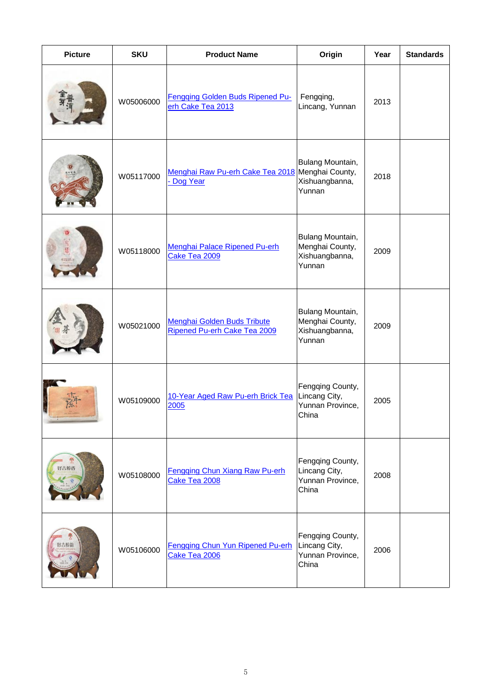| <b>Picture</b> | <b>SKU</b> | <b>Product Name</b>                                                | Origin                                                          | Year | <b>Standards</b> |
|----------------|------------|--------------------------------------------------------------------|-----------------------------------------------------------------|------|------------------|
|                | W05006000  | Fengging Golden Buds Ripened Pu-<br>erh Cake Tea 2013              | Fengqing,<br>Lincang, Yunnan                                    | 2013 |                  |
|                | W05117000  | Menghai Raw Pu-erh Cake Tea 2018 Menghai County,<br>- Dog Year     | Bulang Mountain,<br>Xishuangbanna,<br>Yunnan                    | 2018 |                  |
|                | W05118000  | <b>Menghai Palace Ripened Pu-erh</b><br>Cake Tea 2009              | Bulang Mountain,<br>Menghai County,<br>Xishuangbanna,<br>Yunnan | 2009 |                  |
|                | W05021000  | <b>Menghai Golden Buds Tribute</b><br>Ripened Pu-erh Cake Tea 2009 | Bulang Mountain,<br>Menghai County,<br>Xishuangbanna,<br>Yunnan | 2009 |                  |
|                | W05109000  | 10-Year Aged Raw Pu-erh Brick Tea<br>2005                          | Fengqing County,<br>Lincang City,<br>Yunnan Province,<br>China  | 2005 |                  |
| 野吉醇香           | W05108000  | Fengqing Chun Xiang Raw Pu-erh<br>Cake Tea 2008                    | Fengqing County,<br>Lincang City,<br>Yunnan Province,<br>China  | 2008 |                  |
| <b>肾吉醇韵</b>    | W05106000  | Fengqing Chun Yun Ripened Pu-erh<br>Cake Tea 2006                  | Fengqing County,<br>Lincang City,<br>Yunnan Province,<br>China  | 2006 |                  |